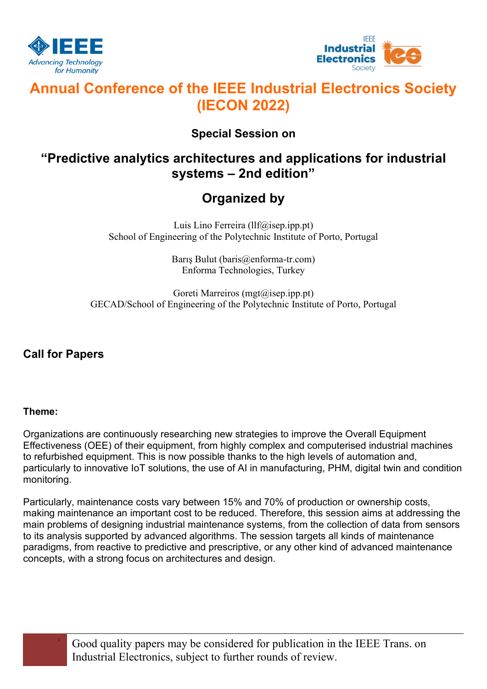



# **Annual Conference of the IEEE Industrial Electronics Society (IECON 2022)**

### **Special Session on**

## **"Predictive analytics architectures and applications for industrial systems – 2nd edition"**

# **Organized by**

Luis Lino Ferreira (llf@isep.ipp.pt) School of Engineering of the Polytechnic Institute of Porto, Portugal

> Barış Bulut (baris@enforma-tr.com) Enforma Technologies, Turkey

Goreti Marreiros (mgt@isep.ipp.pt) GECAD/School of Engineering of the Polytechnic Institute of Porto, Portugal

### **Call for Papers**

### **Theme:**

Organizations are continuously researching new strategies to improve the Overall Equipment Effectiveness (OEE) of their equipment, from highly complex and computerised industrial machines to refurbished equipment. This is now possible thanks to the high levels of automation and, particularly to innovative IoT solutions, the use of AI in manufacturing, PHM, digital twin and condition monitoring.

Particularly, maintenance costs vary between 15% and 70% of production or ownership costs, making maintenance an important cost to be reduced. Therefore, this session aims at addressing the main problems of designing industrial maintenance systems, from the collection of data from sensors to its analysis supported by advanced algorithms. The session targets all kinds of maintenance paradigms, from reactive to predictive and prescriptive, or any other kind of advanced maintenance concepts, with a strong focus on architectures and design.